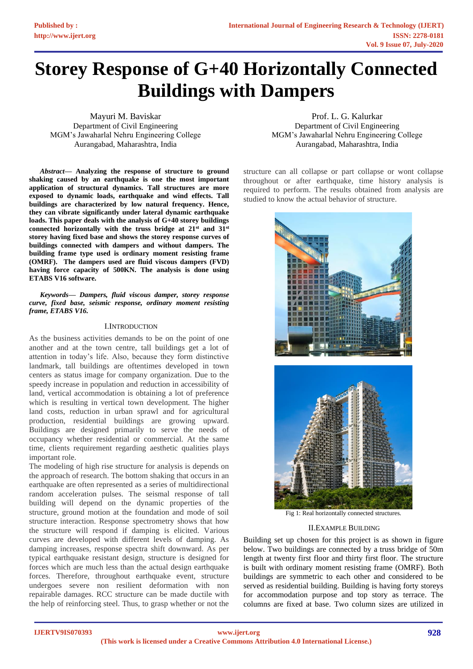# **Storey Response of G+40 Horizontally Connected Buildings with Dampers**

Mayuri M. Baviskar Department of Civil Engineering MGM's Jawaharlal Nehru Engineering College Aurangabad, Maharashtra, India

*Abstract***— Analyzing the response of structure to ground shaking caused by an earthquake is one the most important application of structural dynamics. Tall structures are more exposed to dynamic loads, earthquake and wind effects. Tall buildings are characterized by low natural frequency. Hence, they can vibrate significantly under lateral dynamic earthquake loads. This paper deals with the analysis of G+40 storey buildings connected horizontally with the truss bridge at 21st and 31st storey having fixed base and shows the storey response curves of buildings connected with dampers and without dampers. The building frame type used is ordinary moment resisting frame (OMRF). The dampers used are fluid viscous dampers (FVD) having force capacity of 500KN. The analysis is done using ETABS V16 software.**

*Keywords— Dampers, fluid viscous damper, storey response curve, fixed base, seismic response, ordinary moment resisting frame, ETABS V16.*

# I.INTRODUCTION

As the business activities demands to be on the point of one another and at the town centre, tall buildings get a lot of attention in today's life. Also, because they form distinctive landmark, tall buildings are oftentimes developed in town centers as status image for company organization. Due to the speedy increase in population and reduction in accessibility of land, vertical accommodation is obtaining a lot of preference which is resulting in vertical town development. The higher land costs, reduction in urban sprawl and for agricultural production, residential buildings are growing upward. Buildings are designed primarily to serve the needs of occupancy whether residential or commercial. At the same time, clients requirement regarding aesthetic qualities plays important role.

The modeling of high rise structure for analysis is depends on the approach of research. The bottom shaking that occurs in an earthquake are often represented as a series of multidirectional random acceleration pulses. The seismal response of tall building will depend on the dynamic properties of the structure, ground motion at the foundation and mode of soil structure interaction. Response spectrometry shows that how the structure will respond if damping is elicited. Various curves are developed with different levels of damping. As damping increases, response spectra shift downward. As per typical earthquake resistant design, structure is designed for forces which are much less than the actual design earthquake forces. Therefore, throughout earthquake event, structure undergoes severe non resilient deformation with non repairable damages. RCC structure can be made ductile with the help of reinforcing steel. Thus, to grasp whether or not the

Prof. L. G. Kalurkar Department of Civil Engineering MGM's Jawaharlal Nehru Engineering College Aurangabad, Maharashtra, India

structure can all collapse or part collapse or wont collapse throughout or after earthquake, time history analysis is required to perform. The results obtained from analysis are studied to know the actual behavior of structure.



Fig 1: Real horizontally connected structures.

### II.EXAMPLE BUILDING

Building set up chosen for this project is as shown in figure below. Two buildings are connected by a truss bridge of 50m length at twenty first floor and thirty first floor. The structure is built with ordinary moment resisting frame (OMRF). Both buildings are symmetric to each other and considered to be served as residential building. Building is having forty storeys for accommodation purpose and top story as terrace. The columns are fixed at base. Two column sizes are utilized in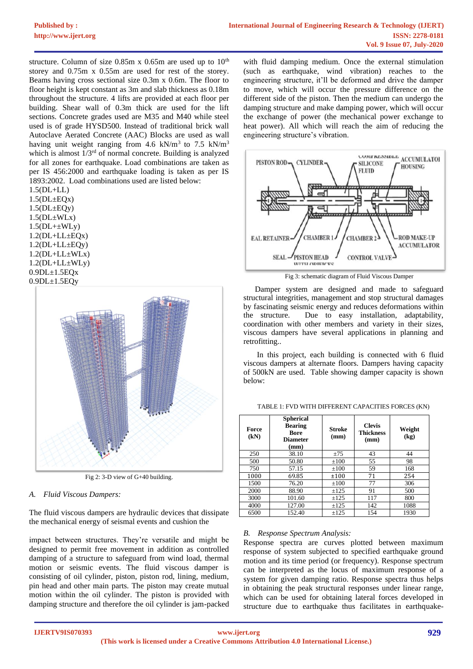structure. Column of size  $0.85m \times 0.65m$  are used up to  $10<sup>th</sup>$ storey and 0.75m x 0.55m are used for rest of the storey. Beams having cross sectional size 0.3m x 0.6m. The floor to floor height is kept constant as 3m and slab thickness as 0.18m throughout the structure. 4 lifts are provided at each floor per building. Shear wall of 0.3m thick are used for the lift sections. Concrete grades used are M35 and M40 while steel used is of grade HYSD500. Instead of traditional brick wall Autoclave Aerated Concrete (AAC) Blocks are used as wall having unit weight ranging from 4.6 kN/m<sup>3</sup> to 7.5 kN/m<sup>3</sup> which is almost  $1/3<sup>rd</sup>$  of normal concrete. Building is analyzed for all zones for earthquake. Load combinations are taken as per IS 456:2000 and earthquake loading is taken as per IS 1893:2002. Load combinations used are listed below:

1.5(DL+LL)  $1.5(DL \pm EQx)$  $1.5(DL \pm EQy)$  $1.5(DL \pm WLx)$  $1.5(DL+\pm WLy)$  $1.2(DL+LL\pm EQx)$  $1.2(DL+LL±EQy)$  $1.2(DL+LL\pm WLx)$  $1.2(DL+LL\pm WLv)$  $0.9DL<sub>±</sub>1.5EQx$  $0.9DL{\pm}1.5EQy$ 



Fig 2: 3-D view of G+40 building.

*A. Fluid Viscous Dampers:*

The fluid viscous dampers are hydraulic devices that dissipate the mechanical energy of seismal events and cushion the

impact between structures. They're versatile and might be designed to permit free movement in addition as controlled damping of a structure to safeguard from wind load, thermal motion or seismic events. The fluid viscous damper is consisting of oil cylinder, piston, piston rod, lining, medium, pin head and other main parts. The piston may create mutual motion within the oil cylinder. The piston is provided with damping structure and therefore the oil cylinder is jam-packed

with fluid damping medium. Once the external stimulation (such as earthquake, wind vibration) reaches to the engineering structure, it'll be deformed and drive the damper to move, which will occur the pressure difference on the different side of the piston. Then the medium can undergo the damping structure and make damping power, which will occur the exchange of power (the mechanical power exchange to heat power). All which will reach the aim of reducing the engineering structure's vibration.



Fig 3: schematic diagram of Fluid Viscous Damper

Damper system are designed and made to safeguard structural integrities, management and stop structural damages by fascinating seismic energy and reduces deformations within the structure. Due to easy installation, adaptability, coordination with other members and variety in their sizes, viscous dampers have several applications in planning and retrofitting..

In this project, each building is connected with 6 fluid viscous dampers at alternate floors. Dampers having capacity of 500kN are used. Table showing damper capacity is shown below:

| Force<br>(kN) | <b>Spherical</b><br><b>Bearing</b><br>Bore<br><b>Diameter</b><br>(mm) | <b>Stroke</b><br>(mm) | <b>Clevis</b><br><b>Thickness</b><br>(mm) | Weight<br>(kg) |
|---------------|-----------------------------------------------------------------------|-----------------------|-------------------------------------------|----------------|
| 250           | 38.10                                                                 | ±75                   | 43                                        | 44             |
| 500           | 50.80                                                                 | $\pm 100$             | 55                                        | 98             |
| 750           | 57.15                                                                 | $\pm 100$             | 59                                        | 168            |
| 1000          | 69.85                                                                 | ±100                  | 71                                        | 254            |
| 1500          | 76.20                                                                 | $\pm 100$             | 77                                        | 306            |
| 2000          | 88.90                                                                 | $+125$                | 91                                        | 500            |
| 3000          | 101.60                                                                | $+125$                | 117                                       | 800            |
| 4000          | 127.00                                                                | $\pm 125$             | 142                                       | 1088           |
| 6500          | 152.40                                                                | $+125$                | 154                                       | 1930           |

TABLE 1: FVD WITH DIFFERENT CAPACITIES FORCES (KN)

# *B. Response Spectrum Analysis:*

Response spectra are curves plotted between maximum response of system subjected to specified earthquake ground motion and its time period (or frequency). Response spectrum can be interpreted as the locus of maximum response of a system for given damping ratio. Response spectra thus helps in obtaining the peak structural responses under linear range, which can be used for obtaining lateral forces developed in structure due to earthquake thus facilitates in earthquake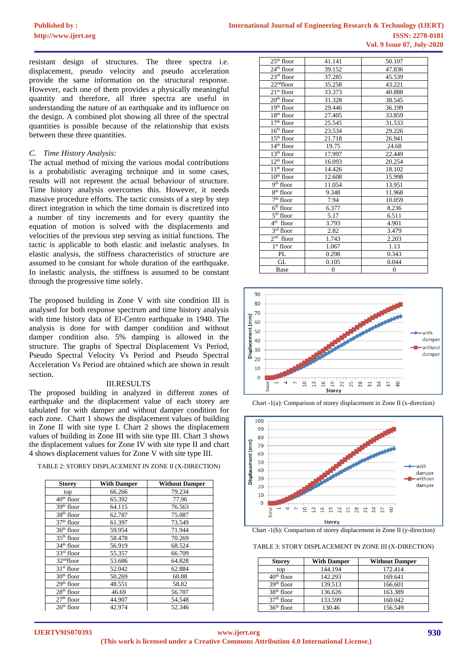resistant design of structures. The three spectra i.e. displacement, pseudo velocity and pseudo acceleration provide the same information on the structural response. However, each one of them provides a physically meaningful quantity and therefore, all three spectra are useful in understanding the nature of an earthquake and its influence on the design. A combined plot showing all three of the spectral quantities is possible because of the relationship that exists between these three quantities.

# *C. Time History Analysis:*

The actual method of mixing the various modal contributions is a probabilistic averaging technique and in some cases, results will not represent the actual behaviour of structure. Time history analysis overcomes this. However, it needs massive procedure efforts. The tactic consists of a step by step direct integration in which the time domain is discretized into a number of tiny increments and for every quantity the equation of motion is solved with the displacements and velocities of the previous step serving as initial functions. The tactic is applicable to both elastic and inelastic analyses. In elastic analysis, the stiffness characteristics of structure are assumed to be constant for whole duration of the earthquake. In inelastic analysis, the stiffness is assumed to be constant through the progressive time solely.

The proposed building in Zone V with site condition III is analysed for both response spectrum and time history analysis with time history data of El-Centro earthquake in 1940. The analysis is done for with damper condition and without damper condition also. 5% damping is allowed in the structure. The graphs of Spectral Displacement Vs Period, Pseudo Spectral Velocity Vs Period and Pseudo Spectral Acceleration Vs Period are obtained which are shown in result section.

#### III.RESULTS

The proposed building in analyzed in different zones of earthquake and the displacement value of each storey are tabulated for with damper and without damper condition for each zone. Chart 1 shows the displacement values of building in Zone II with site type I. Chart 2 shows the displacement values of building in Zone III with site type III. Chart 3 shows the displacement values for Zone IV with site type II and chart 4 shows displacement values for Zone V with site type III.

TABLE 2: STOREY DISPLACEMENT IN ZONE II (X-DIRECTION)

| <b>Storey</b>          | <b>With Damper</b> | <b>Without Damper</b> |
|------------------------|--------------------|-----------------------|
| top                    | 66.266             | 79.234                |
| 40 <sup>th</sup> floor | 65.392             | 77.96                 |
| 39 <sup>th</sup> floor | 64.115             | 76.563                |
| 38 <sup>th</sup> floor | 62.787             | 75.087                |
| 37 <sup>th</sup> floor | 61.397             | 73.549                |
| $36th$ floor           | 59.954             | 71.944                |
| $35th$ floor           | 58.478             | 70.269                |
| 34 <sup>th</sup> floor | 56.919             | 68.524                |
| $33rd$ floor           | 55.357             | 66.709                |
| 32 <sup>nd</sup> floor | 53.686             | 64.828                |
| $31st$ floor           | 52.042             | 62.884                |
| $30th$ floor           | 50.269             | 60.88                 |
| 29 <sup>th</sup> floor | 48.551             | 58.82                 |
| $28th$ floor           | 46.69              | 56.707                |
| $27th$ floor           | 44.907             | 54.548                |
| $26th$ floor           | 42.974             | 52.346                |

| $25th$ floor                       | 41.141         | 50.107         |
|------------------------------------|----------------|----------------|
| $24th$ floor                       | 39.152         | 47.836         |
| $23rd$ floor                       | 37.285         | 45.539         |
| 22 <sup>nd</sup> floor             | 35.258         | 43.221         |
| $21st$ floor                       | 33.373         | 40.888         |
| $20th$ floor                       | 31.328         | 38.545         |
| $19th$ floor                       | 29.446         | 36.199         |
| $18th$ floor                       | 27.405         | 33.859         |
| $17th$ floor                       | 25.545         | 31.533         |
| $16^{\rm th}$ floor                | 23.534         | 29.226         |
| $15th$ floor                       | 21.718         | 26.941         |
| $14th$ floor                       | 19.75          | 24.68          |
| $13^{\rm th}$ floor                | 17.997         | 22.449         |
| $12th$ floor                       | 16.093         | 20.254         |
| $\overline{1}1^{\text{th}}$ floor  | 14.426         | 18.102         |
| $10th$ floor                       | 12.608         | 15.998         |
| $9th$ floor                        | 11.054         | 13.951         |
| $8th$ floor                        | 9.348          | 11.968         |
| $7th$ floor                        | 7.94           | 10.059         |
| $\overline{6}$ <sup>th</sup> floor | 6.377          | 8.236          |
| $\overline{5}^{\text{th}}$ floor   | 5.17           | 6.511          |
| $4th$ floor                        | 3.793          | 4.901          |
| $3rd$ floor                        | 2.82           | 3.479          |
| $2nd$ floor                        | 1.743          | 2.203          |
| $1^{\rm st}$ floor                 | 1.067          | 1.13           |
| PL                                 | 0.298          | 0.343          |
| GL                                 | 0.105          | 0.044          |
| Base                               | $\overline{0}$ | $\overline{0}$ |



Chart -1(a): Comparison of storey displacement in Zone II (x-direction)



Chart -1(b): Comparison of storey displacement in Zone II (y-direction)

TABLE 3: STORY DISPLACEMENT IN ZONE III (X-DIRECTION)

| <b>Storey</b> | <b>With Damper</b> | <b>Without Damper</b> |
|---------------|--------------------|-----------------------|
| top           | 144.194            | 172.414               |
| $40th$ floor  | 142.293            | 169.641               |
| $39th$ floor  | 139.513            | 166.601               |
| $38th$ floor  | 136.626            | 163.389               |
| $37th$ floor  | 133.599            | 160.042               |
| $36th$ floor  | 130.46             | 156.549               |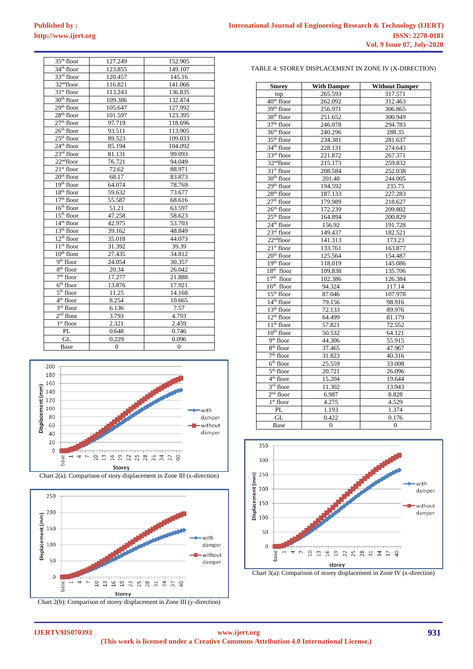| <b>International Journal of Engineering Research &amp; Technology (IJERT)</b> |  |
|-------------------------------------------------------------------------------|--|
| <b>ISSN: 2278-0181</b>                                                        |  |
| <b>Vol. 9 Issue 07, July-2020</b>                                             |  |

| $35th$ floor              | 127.249  | 152.905  |
|---------------------------|----------|----------|
| $34th$ floor              | 123.855  | 149.107  |
| $33rd$ floor              | 120.457  | 145.16   |
| 32 <sup>nd</sup> floor    | 116.821  | 141.066  |
| $31st$ floor              | 113.243  | 136.835  |
| $30th$ floor              | 109.386  | 132.474  |
| $29th$ floor              | 105.647  | 127.992  |
| 28 <sup>th</sup> floor    | 101.597  | 123.395  |
| $27th$ floor              | 97.719   | 118.696  |
| $26th$ floor              | 93.511   | 113.905  |
| $25th$ floor              | 89.523   | 109.033  |
| $24th$ floor              | 85.194   | 104.092  |
| $23rd$ floor              | 81.131   | 99.093   |
| $22nd$ floor              | 76.721   | 94.049   |
| $21st$ floor              | 72.62    | 88.971   |
| $20th$ floor              | 68.17    | 83.873   |
| $19th$ floor              | 64.074   | 78.769   |
| $18th$ floor              | 59.632   | 73.677   |
| $17th$ floor              | 55.587   | 68.616   |
| $16th$ floor              | 51.21    | 63.597   |
| $15th$ floor              | 47.258   | 58.623   |
| $14th$ floor              | 42.975   | 53.703   |
| $13th$ floor              | 39.162   | 48.849   |
| $12th$ floor              | 35.018   | 44.073   |
| $11th$ floor              | 31.392   | 39.39    |
| $10th$ floor              | 27.435   | 34.812   |
| $9th$ floor               | 24.054   | 30.357   |
| $\overline{8^{th}}$ floor | 20.34    | 26.042   |
| $7th$ floor               | 17.277   | 21.888   |
| $6th$ floor               | 13.876   | 17.921   |
| $5th$ floor               | 11.25    | 14.168   |
| $4th$ floor               | 8.254    | 10.665   |
| $3rd$ floor               | 6.136    | 7.57     |
| $2nd$ floor               | 3.793    | 4.793    |
| $1st$ floor               | 2.321    | 2.459    |
| PL                        | 0.648    | 0.746    |
| GL                        | 0.229    | 0.096    |
| Base                      | $\Omega$ | $\Omega$ |







Chart 2(b): Comparison of storey displacement in Zone III (y-direction)

TABLE 4: STOREY DISPLACEMENT IN ZONE IV (X-DIRECTION)

| <b>Storey</b>                      | <b>With Damper</b> | <b>Without Damper</b> |
|------------------------------------|--------------------|-----------------------|
| top                                | 265.593            | 317.571               |
| $40th$ floor                       | 262.092            | 312.463               |
| $39th$ floor                       | 256.971            | 306.865               |
| $38th$ floor                       | 251.652            | 300.949               |
| 37 <sup>th</sup> floor             | 246.078            | 294.783               |
| 36 <sup>th</sup> floor             | 240.296            | 288.35                |
| $35th$ floor                       | 234.381            | 281.637               |
| 34 <sup>th</sup> floor             | 228.131            | 274.643               |
| 33rd floor                         | 221.872            | 267.371               |
| $32nd$ floor                       | 215.173            | 259.832               |
| $31st$ floor                       | 208.584            | 252.038               |
| $30th$ floor                       | 201.48             | 244.005               |
| 29 <sup>th</sup> floor             | 194.592            | 235.75                |
| $28th$ floor                       | 187.133            | 227.283               |
| $27th$ floor                       | 179.989            | 218.627               |
| $26th$ floor                       | 172.239            | 209.802               |
| $25th$ floor                       | 164.894            | 200.829               |
| 24 <sup>th</sup> floor             | 156.92             | 191.728               |
| $23rd$ floor                       | 149.437            | 182.521               |
| 22 <sup>nd</sup> floor             | 141.313            | 173.23                |
| $21st$ floor                       | 133.761            | 163.877               |
| $20th$ floor                       | 125.564            | 154.487               |
| $19th$ floor                       | 118.019            | 145.086               |
| $18th$ floor                       | 109.838            | 135.706               |
| $17th$ floor                       | 102.386            | 126.384               |
| $16th$ floor                       | 94.324             | 117.14                |
| $15th$ floor                       | 87.046             | 107.978               |
| $14th$ floor                       | 79.156             | 98.916                |
| $13th$ floor                       | 72.133             | 89.976                |
| $12th$ floor                       | 64.499             | 81.179                |
| $11th$ floor                       | 57.821             | 72.552                |
| $10th$ floor                       | 50.532             | 64.121                |
| $\overline{9}$ <sup>th</sup> floor | 44.306             | 55.915                |
| $8th$ floor                        | 37.465             | 47.967                |
| $\overline{7}^{\text{th}}$ floor   | 31.823             | 40.316                |
| $6th$ floor                        | 25.559             | 33.008                |
| $\overline{5^{th}}$ floor          | 20.721             | 26.096                |
| $\overline{4^{th}}$ floor          | 15.204             | 19.644                |
| $3rd$ floor                        | 11.302             | 13.943                |
| $2nd$ floor                        | 6.987              | 8.828                 |
| $1st$ floor                        | 4.275              | 4.529                 |
| PL                                 | 1.193              | 1.374                 |
| GL                                 | 0.422              | 0.176                 |
| Base                               | $\overline{0}$     | $\overline{0}$        |



Chart 3(a): Comparison of storey displacement in Zone IV (x-direction)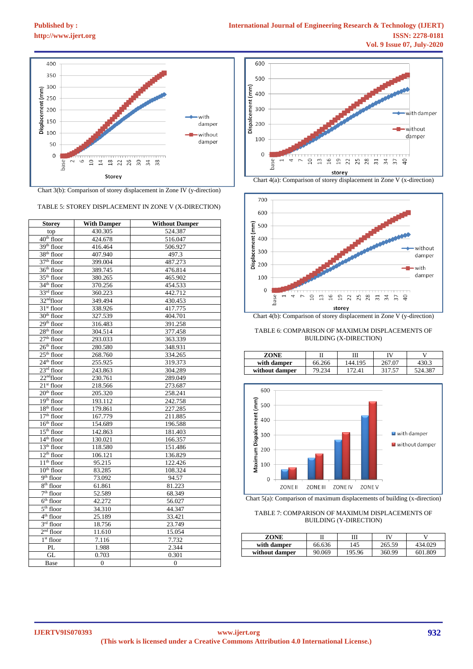

Chart 3(b): Comparison of storey displacement in Zone IV (y-direction)

#### TABLE 5: STOREY DISPLACEMENT IN ZONE V (X-DIRECTION)

| <b>Storey</b>                       | <b>With Damper</b> | <b>Without Damper</b> |
|-------------------------------------|--------------------|-----------------------|
| top                                 | 430.305            | 524.387               |
| 40 <sup>th</sup> floor              | 424.678            | 516.047               |
| $39th$ floor                        | 416.464            | 506.927               |
| 38 <sup>th</sup> floor              | 407.940            | 497.3                 |
| $37th$ floor                        | 399.004            | 487.273               |
| 36 <sup>th</sup> floor              | 389.745            | 476.814               |
| 35 <sup>th</sup> floor              | 380.265            | 465.902               |
| 34 <sup>th</sup> floor              | 370.256            | 454.533               |
| 33rd floor                          | 360.223            | 442.712               |
| 32 <sup>nd</sup> floor              | 349.494            | 430.453               |
| 31 <sup>st</sup> floor              | 338.926            | 417.775               |
| $30th$ floor                        | 327.539            | 404.701               |
| $29th$ floor                        | 316.483            | 391.258               |
| $28th$ floor                        | 304.514            | 377.458               |
| $27th$ floor                        | 293.033            | 363.339               |
| $26th$ floor                        | 280.580            | 348.931               |
| $25th$ floor                        | 268.760            | 334.265               |
| $24th$ floor                        | 255.925            | 319.373               |
| $23rd$ floor                        | 243.863            | 304.289               |
| $22nd$ floor                        | 230.761            | 289.049               |
| $21st$ floor                        | 218.566            | 273.687               |
| $20th$ floor                        | 205.320            | 258.241               |
| $19th$ floor                        | 193.112            | 242.758               |
| $18th$ floor                        | 179.861            | 227.285               |
| $\overline{17}$ <sup>th</sup> floor | 167.779            | 211.885               |
| $\overline{16}$ <sup>th</sup> floor | 154.689            | 196.588               |
| $15th$ floor                        | 142.863            | 181.403               |
| $14th$ floor                        | 130.021            | 166.357               |
| 13 <sup>th</sup> floor              | 118.580            | 151.486               |
| $12th$ floor                        | 106.121            | 136.829               |
| $11th$ floor                        | 95.215             | 122.426               |
| $10th$ floor                        | 83.285             | 108.324               |
| $9th$ floor                         | 73.092             | 94.57                 |
| 8 <sup>th</sup> floor               | 61.861             | 81.223                |
| $\overline{7^{th}}$ floor           | 52.589             | 68.349                |
| $6th$ floor                         | 42.272             | 56.027                |
| $5th$ floor                         | 34.310             | 44.347                |
| 4 <sup>th</sup> floor               | 25.189             | 33.421                |
| $3rd$ floor                         | 18.756             | 23.749                |
| $2nd$ floor                         | 11.610             | 15.054                |
| $1st$ floor                         | 7.116              | 7.732                 |
| PL                                  | 1.988              | 2.344                 |
| GL                                  | 0.703              | 0.301                 |
| Base                                | $\overline{0}$     | $\mathbf{0}$          |



Chart 4(a): Comparison of storey displacement in Zone V (x-direction)



Chart 4(b): Comparison of storey displacement in Zone V (y-direction)

TABLE 6: COMPARISON OF MAXIMUM DISPLACEMENTS OF BUILDING (X-DIRECTION)

| ZONE           |        | Ш       | ΓV     |         |
|----------------|--------|---------|--------|---------|
| with damper    | 66.266 | 144.195 | 267.07 | 430.3   |
| without damper |        | 72 A 1  | 317.57 | 524.387 |



Chart 5(a): Comparison of maximum displacements of building (x-direction)

#### TABLE 7: COMPARISON OF MAXIMUM DISPLACEMENTS OF BUILDING (Y-DIRECTION)

| ZONE           |        |        | IV     |         |
|----------------|--------|--------|--------|---------|
| with damper    | 66.636 | 145    | 265.59 | 434.029 |
| without damper | 90.069 | 195.96 | 360.99 | 601.809 |

**IJERTV9IS070393**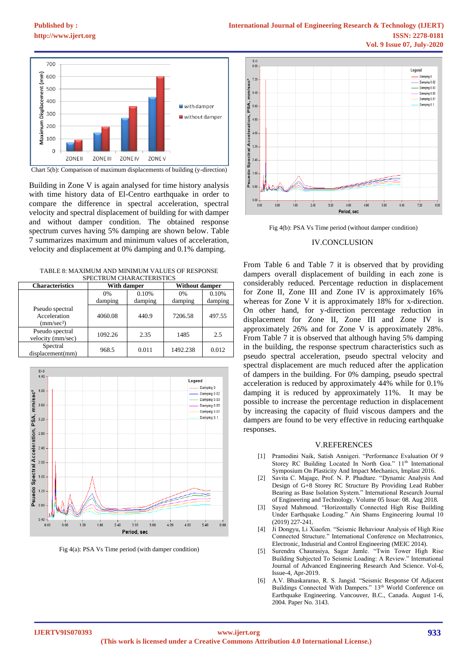**[Published by :](www.ijert.org)**



Chart 5(b): Comparison of maximum displacements of building (y-direction)

Building in Zone V is again analysed for time history analysis with time history data of El-Centro earthquake in order to compare the difference in spectral acceleration, spectral velocity and spectral displacement of building for with damper and without damper condition. The obtained response spectrum curves having 5% damping are shown below. Table 7 summarizes maximum and minimum values of acceleration, velocity and displacement at 0% damping and 0.1% damping.

TABLE 8: MAXIMUM AND MINIMUM VALUES OF RESPONSE STELLER CHARACTERISTICS

| <b>Characteristics</b>                               | With damper   |                  | <b>Without damper</b> |                  |
|------------------------------------------------------|---------------|------------------|-----------------------|------------------|
|                                                      | 0%<br>damping | 0.10%<br>damping | 0%<br>damping         | 0.10%<br>damping |
| Pseudo spectral<br>Acceleration<br>$\text{mm/sec}^2$ | 4060.08       | 440.9            | 7206.58               | 497.55           |
| Pseudo spectral<br>velocity (mm/sec)                 | 1092.26       | 2.35             | 1485                  | 2.5              |
| Spectral<br>displacement(mm)                         | 968.5         | 0.011            | 1492.238              | 0.012            |



Fig 4(a): PSA Vs Time period (with damper condition)



Fig 4(b): PSA Vs Time period (without damper condition)

# IV.CONCLUSION

From Table 6 and Table 7 it is observed that by providing dampers overall displacement of building in each zone is considerably reduced. Percentage reduction in displacement for Zone II, Zone III and Zone IV is approximately 16% whereas for Zone V it is approximately 18% for x-direction. On other hand, for y-direction percentage reduction in displacement for Zone II, Zone III and Zone IV is approximately 26% and for Zone V is approximately 28%. From Table 7 it is observed that although having 5% damping in the building, the response spectrum characteristics such as pseudo spectral acceleration, pseudo spectral velocity and spectral displacement are much reduced after the application of dampers in the building. For 0% damping, pseudo spectral acceleration is reduced by approximately 44% while for 0.1% damping it is reduced by approximately 11%. It may be possible to increase the percentage reduction in displacement by increasing the capacity of fluid viscous dampers and the dampers are found to be very effective in reducing earthquake responses.

#### V.REFERENCES

- [1] Pramodini Naik, Satish Annigeri. "Performance Evaluation Of 9 Storey RC Building Located In North Goa." 11<sup>th</sup> International Symposium On Plasticity And Impact Mechanics, Implast 2016.
- [2] Savita C. Majage, Prof. N. P. Phadtare. "Dynamic Analysis And Design of G+8 Storey RC Structure By Providing Lead Rubber Bearing as Base Isolation System." International Research Journal of Engineering and Technology. Volume 05 Issue: 08. Aug 2018.
- [3] Sayed Mahmoud. "Horizontally Connected High Rise Building Under Earthquake Loading." Ain Shams Engineering Journal 10 (2019) 227-241.
- [4] Ji Dongyu, Li Xiaofen. "Seismic Behaviour Analysis of High Rise Connected Structure." International Conference on Mechatronics, Electronic, Industrial and Control Engineering (MEIC 2014).
- [5] Surendra Chaurasiya, Sagar Jamle. "Twin Tower High Rise Building Subjected To Seismic Loading: A Review." International Journal of Advanced Engineering Research And Science. Vol-6, Issue-4, Apr-2019.
- [6] A.V. Bhaskararao, R. S. Jangid. "Seismic Response Of Adjacent Buildings Connected With Dampers." 13<sup>th</sup> World Conference on Earthquake Engineering. Vancouver, B.C., Canada. August 1-6, 2004. Paper No. 3143.